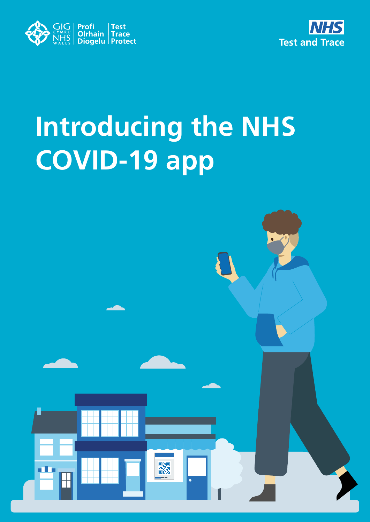



# **Introducing the NHS COVID-19 app**

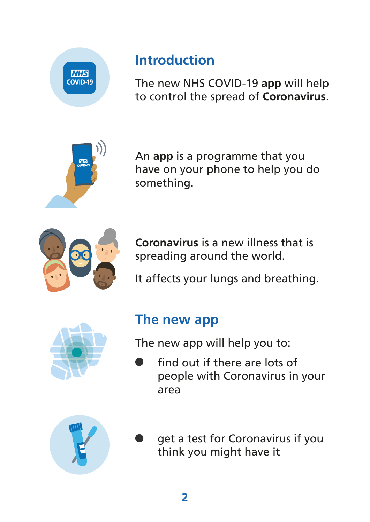

### **Introduction**

The new NHS COVID-19 **app** will help to control the spread of **Coronavirus**.



An **app** is a programme that you have on your phone to help you do something.



**Coronavirus** is a new illness that is spreading around the world.

It affects your lungs and breathing.



#### **The new app**

The new app will help you to:

find out if there are lots of<br>people with Coronavirus in<br>area<br>get a test for Coronavirus i<br>think you might have it<br>2 people with Coronavirus in your area



get a test for Coronavirus if you think you might have it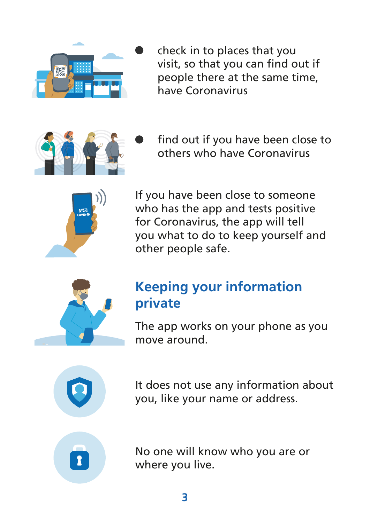

check in to places that you visit, so that you can find out if people there at the same time, have Coronavirus



find out if you have been close to others who have Coronavirus



If you have been close to someone who has the app and tests positive for Coronavirus, the app will tell you what to do to keep yourself and other people safe.



#### **Keeping your information private**

The app works on your phone as you move around.



It does not use any information about you, like your name or address.



No one will know who you are or where you live.